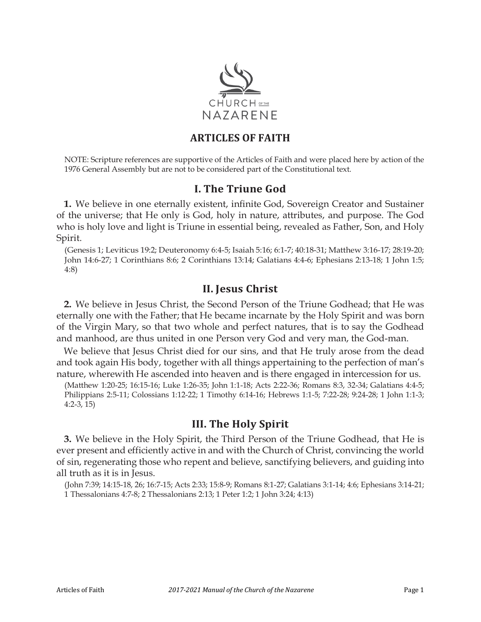

# **ARTICLES OF FAITH**

NOTE: Scripture references are supportive of the Articles of Faith and were placed here by action of the 1976 General Assembly but are not to be considered part of the Constitutional text.

# **I. The Triune God**

**1.** We believe in one eternally existent, infinite God, Sovereign Creator and Sustainer of the universe; that He only is God, holy in nature, attributes, and purpose. The God who is holy love and light is Triune in essential being, revealed as Father, Son, and Holy Spirit.

(Genesis 1; Leviticus 19:2; Deuteronomy 6:4-5; Isaiah 5:16; 6:1-7; 40:18-31; Matthew 3:16-17; 28:19-20; John 14:6-27; 1 Corinthians 8:6; 2 Corinthians 13:14; Galatians 4:4-6; Ephesians 2:13-18; 1 John 1:5; 4:8)

### **II. Jesus Christ**

**2.** We believe in Jesus Christ, the Second Person of the Triune Godhead; that He was eternally one with the Father; that He became incarnate by the Holy Spirit and was born of the Virgin Mary, so that two whole and perfect natures, that is to say the Godhead and manhood, are thus united in one Person very God and very man, the God-man.

We believe that Jesus Christ died for our sins, and that He truly arose from the dead and took again His body, together with all things appertaining to the perfection of man's nature, wherewith He ascended into heaven and is there engaged in intercession for us.

(Matthew 1:20-25; 16:15-16; Luke 1:26-35; John 1:1-18; Acts 2:22-36; Romans 8:3, 32-34; Galatians 4:4-5; Philippians 2:5-11; Colossians 1:12-22; 1 Timothy 6:14-16; Hebrews 1:1-5; 7:22-28; 9:24-28; 1 John 1:1-3; 4:2-3, 15)

## **III. The Holy Spirit**

**3.** We believe in the Holy Spirit, the Third Person of the Triune Godhead, that He is ever present and efficiently active in and with the Church of Christ, convincing the world of sin, regenerating those who repent and believe, sanctifying believers, and guiding into all truth as it is in Jesus.

(John 7:39; 14:15-18, 26; 16:7-15; Acts 2:33; 15:8-9; Romans 8:1-27; Galatians 3:1-14; 4:6; Ephesians 3:14-21; 1 Thessalonians 4:7-8; 2 Thessalonians 2:13; 1 Peter 1:2; 1 John 3:24; 4:13)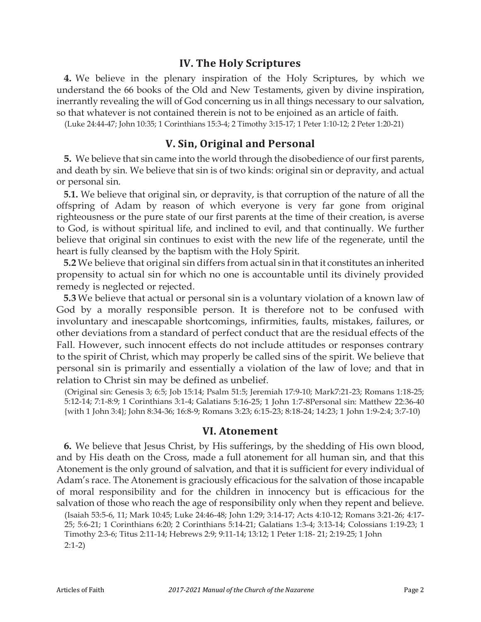### **IV. The Holy Scriptures**

**4.** We believe in the plenary inspiration of the Holy Scriptures, by which we understand the 66 books of the Old and New Testaments, given by divine inspiration, inerrantly revealing the will of God concerning us in all things necessary to our salvation, so that whatever is not contained therein is not to be enjoined as an article of faith.

(Luke 24:44-47; John 10:35; 1 Corinthians 15:3-4; 2 Timothy 3:15-17; 1 Peter 1:10-12; 2 Peter 1:20-21)

#### **V. Sin, Original and Personal**

**5.** We believe that sin came into the world through the disobedience of our first parents, and death by sin. We believe that sin is of two kinds: original sin or depravity, and actual or personal sin.

**5.1.** We believe that original sin, or depravity, is that corruption of the nature of all the offspring of Adam by reason of which everyone is very far gone from original righteousness or the pure state of our first parents at the time of their creation, is averse to God, is without spiritual life, and inclined to evil, and that continually. We further believe that original sin continues to exist with the new life of the regenerate, until the heart is fully cleansed by the baptism with the Holy Spirit.

**5.2** We believe that original sin differs from actual sin in that it constitutes an inherited propensity to actual sin for which no one is accountable until its divinely provided remedy is neglected or rejected.

**5.3** We believe that actual or personal sin is a voluntary violation of a known law of God by a morally responsible person. It is therefore not to be confused with involuntary and inescapable shortcomings, infirmities, faults, mistakes, failures, or other deviations from a standard of perfect conduct that are the residual effects of the Fall. However, such innocent effects do not include attitudes or responses contrary to the spirit of Christ, which may properly be called sins of the spirit. We believe that personal sin is primarily and essentially a violation of the law of love; and that in relation to Christ sin may be defined as unbelief.

(Original sin: Genesis 3; 6:5; Job 15:14; Psalm 51:5; Jeremiah 17:9-10; Mark7:21-23; Romans 1:18-25; 5:12-14; 7:1-8:9; 1 Corinthians 3:1-4; Galatians 5:16-25; 1 John 1:7-8Personal sin: Matthew 22:36-40 {with 1 John 3:4}; John 8:34-36; 16:8-9; Romans 3:23; 6:15-23; 8:18-24; 14:23; 1 John 1:9-2:4; 3:7-10)

#### **VI. Atonement**

**6.** We believe that Jesus Christ, by His sufferings, by the shedding of His own blood, and by His death on the Cross, made a full atonement for all human sin, and that this Atonement is the only ground of salvation, and that it is sufficient for every individual of Adam's race. The Atonement is graciously efficacious for the salvation of those incapable of moral responsibility and for the children in innocency but is efficacious for the salvation of those who reach the age of responsibility only when they repent and believe.

(Isaiah 53:5-6, 11; Mark 10:45; Luke 24:46-48; John 1:29; 3:14-17; Acts 4:10-12; Romans 3:21-26; 4:17- 25; 5:6-21; 1 Corinthians 6:20; 2 Corinthians 5:14-21; Galatians 1:3-4; 3:13-14; Colossians 1:19-23; 1 Timothy 2:3-6; Titus 2:11-14; Hebrews 2:9; 9:11-14; 13:12; 1 Peter 1:18- 21; 2:19-25; 1 John 2:1-2)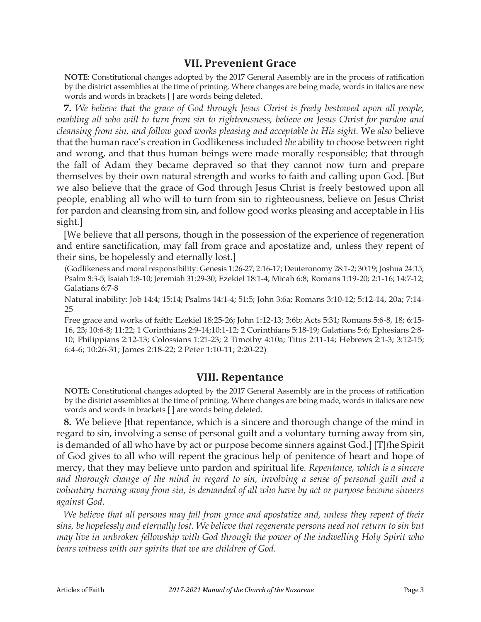### **VII. Prevenient Grace**

**NOTE**: Constitutional changes adopted by the 2017 General Assembly are in the process of ratification by the district assemblies at the time of printing. Where changes are being made, words in italics are new words and words in brackets [ ] are words being deleted.

**7.** *We believe that the grace of God through Jesus Christ is freely bestowed upon all people, enabling all who will to turn from sin to righteousness, believe on Jesus Christ for pardon and cleansing from sin, and follow good works pleasing and acceptable in His sight.* We *also* believe that the human race's creation in Godlikeness included *the* ability to choose between right and wrong, and that thus human beings were made morally responsible; that through the fall of Adam they became depraved so that they cannot now turn and prepare themselves by their own natural strength and works to faith and calling upon God. [But we also believe that the grace of God through Jesus Christ is freely bestowed upon all people, enabling all who will to turn from sin to righteousness, believe on Jesus Christ for pardon and cleansing from sin, and follow good works pleasing and acceptable in His sight.]

[We believe that all persons, though in the possession of the experience of regeneration and entire sanctification, may fall from grace and apostatize and, unless they repent of their sins, be hopelessly and eternally lost.]

(Godlikeness and moral responsibility: Genesis 1:26-27; 2:16-17; Deuteronomy 28:1-2; 30:19; Joshua 24:15; Psalm 8:3-5; Isaiah 1:8-10; Jeremiah 31:29-30; Ezekiel 18:1-4; Micah 6:8; Romans 1:19-20; 2:1-16; 14:7-12; Galatians 6:7-8

Natural inability: Job 14:4; 15:14; Psalms 14:1-4; 51:5; John 3:6a; Romans 3:10-12; 5:12-14, 20a; 7:14- 25

Free grace and works of faith: Ezekiel 18:25-26; John 1:12-13; 3:6b; Acts 5:31; Romans 5:6-8, 18; 6:15- 16, 23; 10:6-8; 11:22; 1 Corinthians 2:9-14;10:1-12; 2 Corinthians 5:18-19; Galatians 5:6; Ephesians 2:8- 10; Philippians 2:12-13; Colossians 1:21-23; 2 Timothy 4:10a; Titus 2:11-14; Hebrews 2:1-3; 3:12-15; 6:4-6; 10:26-31; James 2:18-22; 2 Peter 1:10-11; 2:20-22)

#### **VIII. Repentance**

**NOTE:** Constitutional changes adopted by the 2017 General Assembly are in the process of ratification by the district assemblies at the time of printing. Where changes are being made, words in italics are new words and words in brackets [ ] are words being deleted.

**8.** We believe [that repentance, which is a sincere and thorough change of the mind in regard to sin, involving a sense of personal guilt and a voluntary turning away from sin, is demanded of all who have by act or purpose become sinners against God.] [T]*t*he Spirit of God gives to all who will repent the gracious help of penitence of heart and hope of mercy, that they may believe unto pardon and spiritual life. *Repentance, which is a sincere and thorough change of the mind in regard to sin, involving a sense of personal guilt and a voluntary turning away from sin, is demanded of all who have by act or purpose become sinners against God.*

*We believe that all persons may fall from grace and apostatize and, unless they repent of their sins, be hopelessly and eternally lost. We believe that regenerate persons need not return to sin but may live in unbroken fellowship with God through the power of the indwelling Holy Spirit who bears witness with our spirits that we are children of God.*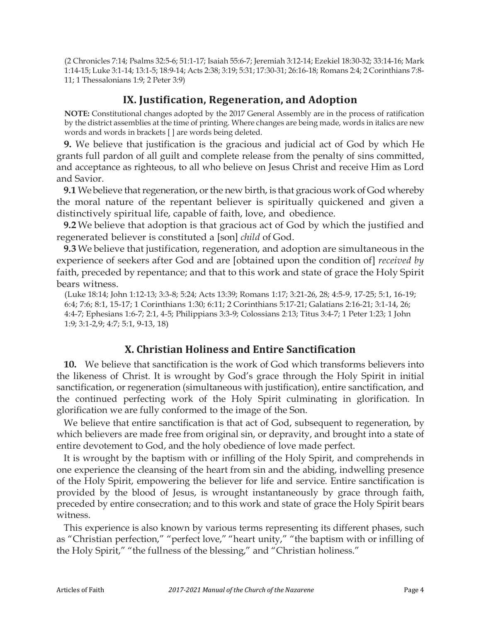(2 Chronicles 7:14; Psalms 32:5-6; 51:1-17; Isaiah 55:6-7; Jeremiah 3:12-14; Ezekiel 18:30-32; 33:14-16; Mark 1:14-15; Luke 3:1-14; 13:1-5; 18:9-14; Acts 2:38; 3:19; 5:31; 17:30-31; 26:16-18; Romans 2:4; 2 Corinthians 7:8- 11; 1 Thessalonians 1:9; 2 Peter 3:9)

# **IX. Justification, Regeneration, and Adoption**

**NOTE:** Constitutional changes adopted by the 2017 General Assembly are in the process of ratification by the district assemblies at the time of printing. Where changes are being made, words in italics are new words and words in brackets [ ] are words being deleted.

**9.** We believe that justification is the gracious and judicial act of God by which He grants full pardon of all guilt and complete release from the penalty of sins committed, and acceptance as righteous, to all who believe on Jesus Christ and receive Him as Lord and Savior.

**9.1** We believe that regeneration, or the new birth, is that gracious work of God whereby the moral nature of the repentant believer is spiritually quickened and given a distinctively spiritual life, capable of faith, love, and obedience.

**9.2** We believe that adoption is that gracious act of God by which the justified and regenerated believer is constituted a [son] *child* of God.

**9.3** We believe that justification, regeneration, and adoption are simultaneous in the experience of seekers after God and are [obtained upon the condition of] *received by*  faith, preceded by repentance; and that to this work and state of grace the Holy Spirit bears witness.

(Luke 18:14; John 1:12-13; 3:3-8; 5:24; Acts 13:39; Romans 1:17; 3:21-26, 28; 4:5-9, 17-25; 5:1, 16-19; 6:4; 7:6; 8:1, 15-17; 1 Corinthians 1:30; 6:11; 2 Corinthians 5:17-21; Galatians 2:16-21; 3:1-14, 26; 4:4-7; Ephesians 1:6-7; 2:1, 4-5; Philippians 3:3-9; Colossians 2:13; Titus 3:4-7; 1 Peter 1:23; 1 John 1:9; 3:1-2,9; 4:7; 5:1, 9-13, 18)

# **X. Christian Holiness and Entire Sanctification**

**10.** We believe that sanctification is the work of God which transforms believers into the likeness of Christ. It is wrought by God's grace through the Holy Spirit in initial sanctification, or regeneration (simultaneous with justification), entire sanctification, and the continued perfecting work of the Holy Spirit culminating in glorification. In glorification we are fully conformed to the image of the Son.

We believe that entire sanctification is that act of God, subsequent to regeneration, by which believers are made free from original sin, or depravity, and brought into a state of entire devotement to God, and the holy obedience of love made perfect.

It is wrought by the baptism with or infilling of the Holy Spirit, and comprehends in one experience the cleansing of the heart from sin and the abiding, indwelling presence of the Holy Spirit, empowering the believer for life and service. Entire sanctification is provided by the blood of Jesus, is wrought instantaneously by grace through faith, preceded by entire consecration; and to this work and state of grace the Holy Spirit bears witness.

This experience is also known by various terms representing its different phases, such as "Christian perfection," "perfect love," "heart unity," "the baptism with or infilling of the Holy Spirit," "the fullness of the blessing," and "Christian holiness."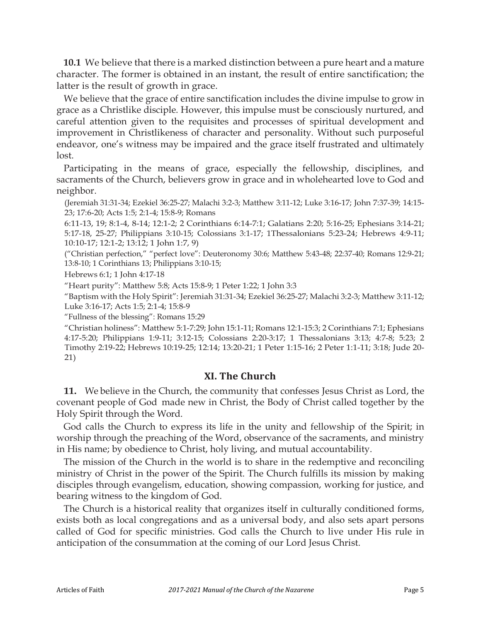**10.1** We believe that there is a marked distinction between a pure heart and a mature character. The former is obtained in an instant, the result of entire sanctification; the latter is the result of growth in grace.

We believe that the grace of entire sanctification includes the divine impulse to grow in grace as a Christlike disciple. However, this impulse must be consciously nurtured, and careful attention given to the requisites and processes of spiritual development and improvement in Christlikeness of character and personality. Without such purposeful endeavor, one's witness may be impaired and the grace itself frustrated and ultimately lost.

Participating in the means of grace, especially the fellowship, disciplines, and sacraments of the Church, believers grow in grace and in wholehearted love to God and neighbor.

(Jeremiah 31:31-34; Ezekiel 36:25-27; Malachi 3:2-3; Matthew 3:11-12; Luke 3:16-17; John 7:37-39; 14:15- 23; 17:6-20; Acts 1:5; 2:1-4; 15:8-9; Romans

6:11-13, 19; 8:1-4, 8-14; 12:1-2; 2 Corinthians 6:14-7:1; Galatians 2:20; 5:16-25; Ephesians 3:14-21; 5:17-18, 25-27; Philippians 3:10-15; Colossians 3:1-17; 1Thessalonians 5:23-24; Hebrews 4:9-11; 10:10-17; 12:1-2; 13:12; 1 John 1:7, 9)

("Christian perfection," "perfect love": Deuteronomy 30:6; Matthew 5:43-48; 22:37-40; Romans 12:9-21; 13:8-10; 1 Corinthians 13; Philippians 3:10-15;

Hebrews 6:1; 1 John 4:17-18

"Heart purity": Matthew 5:8; Acts 15:8-9; 1 Peter 1:22; 1 John 3:3

"Baptism with the Holy Spirit": Jeremiah 31:31-34; Ezekiel 36:25-27; Malachi 3:2-3; Matthew 3:11-12; Luke 3:16-17; Acts 1:5; 2:1-4; 15:8-9

"Fullness of the blessing": Romans 15:29

"Christian holiness": Matthew 5:1-7:29; John 15:1-11; Romans 12:1-15:3; 2 Corinthians 7:1; Ephesians 4:17-5:20; Philippians 1:9-11; 3:12-15; Colossians 2:20-3:17; 1 Thessalonians 3:13; 4:7-8; 5:23; 2 Timothy 2:19-22; Hebrews 10:19-25; 12:14; 13:20-21; 1 Peter 1:15-16; 2 Peter 1:1-11; 3:18; Jude 20- 21)

#### **XI. The Church**

**11.** We believe in the Church, the community that confesses Jesus Christ as Lord, the covenant people of God made new in Christ, the Body of Christ called together by the Holy Spirit through the Word.

God calls the Church to express its life in the unity and fellowship of the Spirit; in worship through the preaching of the Word, observance of the sacraments, and ministry in His name; by obedience to Christ, holy living, and mutual accountability.

The mission of the Church in the world is to share in the redemptive and reconciling ministry of Christ in the power of the Spirit. The Church fulfills its mission by making disciples through evangelism, education, showing compassion, working for justice, and bearing witness to the kingdom of God.

The Church is a historical reality that organizes itself in culturally conditioned forms, exists both as local congregations and as a universal body, and also sets apart persons called of God for specific ministries. God calls the Church to live under His rule in anticipation of the consummation at the coming of our Lord Jesus Christ.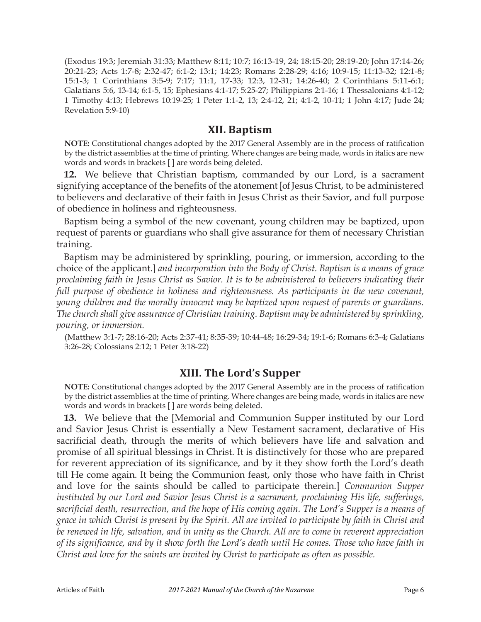(Exodus 19:3; Jeremiah 31:33; Matthew 8:11; 10:7; 16:13-19, 24; 18:15-20; 28:19-20; John 17:14-26; 20:21-23; Acts 1:7-8; 2:32-47; 6:1-2; 13:1; 14:23; Romans 2:28-29; 4:16; 10:9-15; 11:13-32; 12:1-8; 15:1-3; 1 Corinthians 3:5-9; 7:17; 11:1, 17-33; 12:3, 12-31; 14:26-40; 2 Corinthians 5:11-6:1; Galatians 5:6, 13-14; 6:1-5, 15; Ephesians 4:1-17; 5:25-27; Philippians 2:1-16; 1 Thessalonians 4:1-12; 1 Timothy 4:13; Hebrews 10:19-25; 1 Peter 1:1-2, 13; 2:4-12, 21; 4:1-2, 10-11; 1 John 4:17; Jude 24; Revelation 5:9-10)

### **XII. Baptism**

**NOTE:** Constitutional changes adopted by the 2017 General Assembly are in the process of ratification by the district assemblies at the time of printing. Where changes are being made, words in italics are new words and words in brackets [ ] are words being deleted.

**12.** We believe that Christian baptism, commanded by our Lord, is a sacrament signifying acceptance of the benefits of the atonement [of Jesus Christ, to be administered to believers and declarative of their faith in Jesus Christ as their Savior, and full purpose of obedience in holiness and righteousness.

Baptism being a symbol of the new covenant, young children may be baptized, upon request of parents or guardians who shall give assurance for them of necessary Christian training.

Baptism may be administered by sprinkling, pouring, or immersion, according to the choice of the applicant.] *and incorporation into the Body of Christ. Baptism is a means of grace proclaiming faith in Jesus Christ as Savior. It is to be administered to believers indicating their full purpose of obedience in holiness and righteousness. As participants in the new covenant, young children and the morally innocent may be baptized upon request of parents or guardians. The church shall give assurance of Christian training. Baptism may be administered by sprinkling, pouring, or immersion.*

(Matthew 3:1-7; 28:16-20; Acts 2:37-41; 8:35-39; 10:44-48; 16:29-34; 19:1-6; Romans 6:3-4; Galatians 3:26-28; Colossians 2:12; 1 Peter 3:18-22)

# **XIII. The Lord's Supper**

**NOTE:** Constitutional changes adopted by the 2017 General Assembly are in the process of ratification by the district assemblies at the time of printing. Where changes are being made, words in italics are new words and words in brackets [ ] are words being deleted.

**13.** We believe that the [Memorial and Communion Supper instituted by our Lord and Savior Jesus Christ is essentially a New Testament sacrament, declarative of His sacrificial death, through the merits of which believers have life and salvation and promise of all spiritual blessings in Christ. It is distinctively for those who are prepared for reverent appreciation of its significance, and by it they show forth the Lord's death till He come again. It being the Communion feast, only those who have faith in Christ and love for the saints should be called to participate therein.] *Communion Supper instituted by our Lord and Savior Jesus Christ is a sacrament, proclaiming His life, sufferings, sacrificial death, resurrection, and the hope of His coming again. The Lord's Supper is a means of grace in which Christ is present by the Spirit. All are invited to participate by faith in Christ and be renewed in life, salvation, and in unity as the Church. All are to come in reverent appreciation of its significance, and by it show forth the Lord's death until He comes. Those who have faith in Christ and love for the saints are invited by Christ to participate as often as possible.*